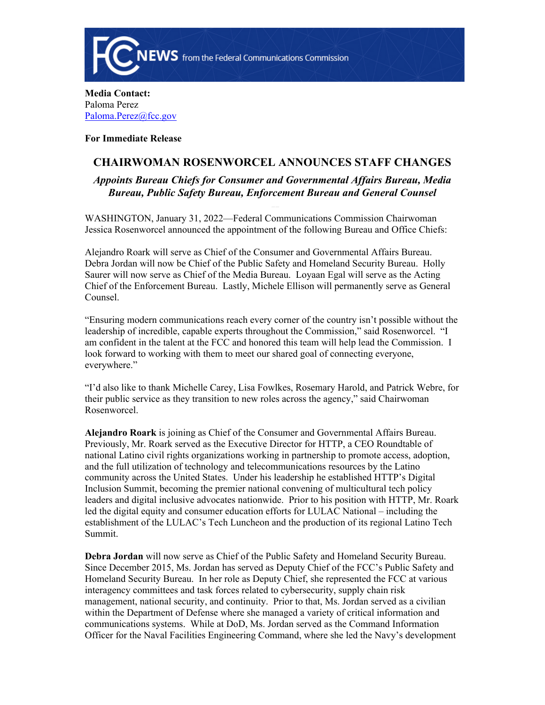

**Media Contact:**  Paloma Perez [Paloma.Perez@fcc.gov](mailto:Paloma.Perez@fcc.gov)

**For Immediate Release**

## **CHAIRWOMAN ROSENWORCEL ANNOUNCES STAFF CHANGES**

*Appoints Bureau Chiefs for Consumer and Governmental Affairs Bureau, Media Bureau, Public Safety Bureau, Enforcement Bureau and General Counsel* 

WASHINGTON, January 31, 2022—Federal Communications Commission Chairwoman Jessica Rosenworcel announced the appointment of the following Bureau and Office Chiefs:

Alejandro Roark will serve as Chief of the Consumer and Governmental Affairs Bureau. Debra Jordan will now be Chief of the Public Safety and Homeland Security Bureau. Holly Saurer will now serve as Chief of the Media Bureau. Loyaan Egal will serve as the Acting Chief of the Enforcement Bureau. Lastly, Michele Ellison will permanently serve as General Counsel.

"Ensuring modern communications reach every corner of the country isn't possible without the leadership of incredible, capable experts throughout the Commission," said Rosenworcel. "I am confident in the talent at the FCC and honored this team will help lead the Commission. I look forward to working with them to meet our shared goal of connecting everyone, everywhere."

"I'd also like to thank Michelle Carey, Lisa Fowlkes, Rosemary Harold, and Patrick Webre, for their public service as they transition to new roles across the agency," said Chairwoman Rosenworcel.

**Alejandro Roark** is joining as Chief of the Consumer and Governmental Affairs Bureau. Previously, Mr. Roark served as the Executive Director for HTTP, a CEO Roundtable of national Latino civil rights organizations working in partnership to promote access, adoption, and the full utilization of technology and telecommunications resources by the Latino community across the United States. Under his leadership he established HTTP's Digital Inclusion Summit, becoming the premier national convening of multicultural tech policy leaders and digital inclusive advocates nationwide. Prior to his position with HTTP, Mr. Roark led the digital equity and consumer education efforts for LULAC National – including the establishment of the LULAC's Tech Luncheon and the production of its regional Latino Tech Summit.

**Debra Jordan** will now serve as Chief of the Public Safety and Homeland Security Bureau. Since December 2015, Ms. Jordan has served as Deputy Chief of the FCC's Public Safety and Homeland Security Bureau. In her role as Deputy Chief, she represented the FCC at various interagency committees and task forces related to cybersecurity, supply chain risk management, national security, and continuity. Prior to that, Ms. Jordan served as a civilian within the Department of Defense where she managed a variety of critical information and communications systems. While at DoD, Ms. Jordan served as the Command Information Officer for the Naval Facilities Engineering Command, where she led the Navy's development